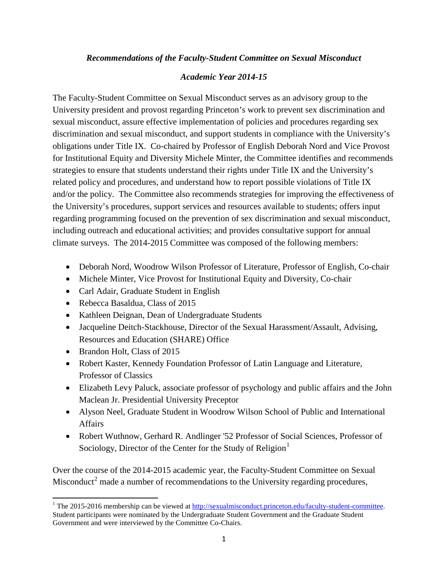## *Recommendations of the Faculty-Student Committee on Sexual Misconduct*

## *Academic Year 2014-15*

The Faculty-Student Committee on Sexual Misconduct serves as an advisory group to the University president and provost regarding Princeton's work to prevent sex discrimination and sexual misconduct, assure effective implementation of policies and procedures regarding sex discrimination and sexual misconduct, and support students in compliance with the University's obligations under Title IX. Co-chaired by Professor of English Deborah Nord and Vice Provost for Institutional Equity and Diversity Michele Minter, the Committee identifies and recommends strategies to ensure that students understand their rights under Title IX and the University's related policy and procedures, and understand how to report possible violations of Title IX and/or the policy. The Committee also recommends strategies for improving the effectiveness of the University's procedures, support services and resources available to students; offers input regarding programming focused on the prevention of sex discrimination and sexual misconduct, including outreach and educational activities; and provides consultative support for annual climate surveys. The 2014-2015 Committee was composed of the following members:

- Deborah Nord, Woodrow Wilson Professor of Literature, Professor of English, Co-chair
- Michele Minter, Vice Provost for Institutional Equity and Diversity, Co-chair
- Carl Adair, Graduate Student in English
- Rebecca Basaldua, Class of 2015
- Kathleen Deignan, Dean of Undergraduate Students
- Jacqueline Deitch-Stackhouse, Director of the Sexual Harassment/Assault, Advising, Resources and Education (SHARE) Office
- Brandon Holt, Class of 2015
- Robert Kaster, Kennedy Foundation Professor of Latin Language and Literature, Professor of Classics
- Elizabeth Levy Paluck, associate professor of psychology and public affairs and the John Maclean Jr. Presidential University Preceptor
- Alyson Neel, Graduate Student in Woodrow Wilson School of Public and International Affairs
- Robert Wuthnow, Gerhard R. Andlinger '52 Professor of Social Sciences, Professor of Sociology, Director of the Center for the Study of Religion $<sup>1</sup>$  $<sup>1</sup>$  $<sup>1</sup>$ </sup>

Over the course of the 2014-2015 academic year, the Faculty-Student Committee on Sexual Misconduct<sup>[2](#page-0-1)</sup> made a number of recommendations to the University regarding procedures,

<span id="page-0-1"></span><span id="page-0-0"></span><sup>&</sup>lt;sup>1</sup> The 2015-2016 membership can be viewed at [http://sexualmisconduct.princeton.edu/faculty-student-committee.](http://sexualmisconduct.princeton.edu/faculty-student-committee) Student participants were nominated by the Undergraduate Student Government and the Graduate Student Government and were interviewed by the Committee Co-Chairs.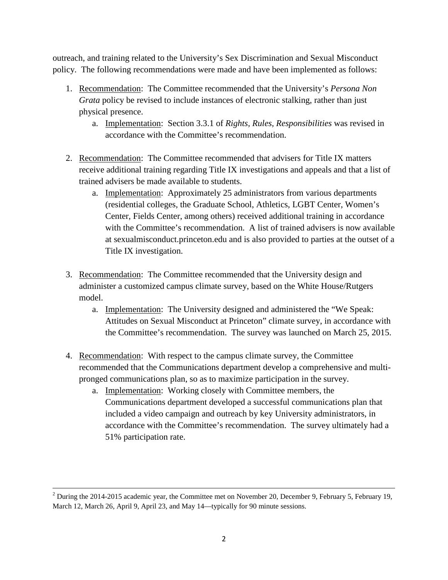outreach, and training related to the University's Sex Discrimination and Sexual Misconduct policy. The following recommendations were made and have been implemented as follows:

- 1. Recommendation: The Committee recommended that the University's *Persona Non Grata* policy be revised to include instances of electronic stalking, rather than just physical presence.
	- a. Implementation: Section 3.3.1 of *Rights, Rules, Responsibilities* was revised in accordance with the Committee's recommendation.
- 2. Recommendation: The Committee recommended that advisers for Title IX matters receive additional training regarding Title IX investigations and appeals and that a list of trained advisers be made available to students.
	- a. Implementation: Approximately 25 administrators from various departments (residential colleges, the Graduate School, Athletics, LGBT Center, Women's Center, Fields Center, among others) received additional training in accordance with the Committee's recommendation. A list of trained advisers is now available at [sexualmisconduct.princeton.edu](mailto:sexualmisconduct@princeton.edu) and is also provided to parties at the outset of a Title IX investigation.
- 3. Recommendation: The Committee recommended that the University design and administer a customized campus climate survey, based on the White House/Rutgers model.
	- a. Implementation: The University designed and administered the "We Speak: Attitudes on Sexual Misconduct at Princeton" climate survey, in accordance with the Committee's recommendation. The survey was launched on March 25, 2015.
- 4. Recommendation: With respect to the campus climate survey, the Committee recommended that the Communications department develop a comprehensive and multipronged communications plan, so as to maximize participation in the survey.
	- a. Implementation: Working closely with Committee members, the Communications department developed a successful communications plan that included a video campaign and outreach by key University administrators, in accordance with the Committee's recommendation. The survey ultimately had a 51% participation rate.

 $2$  During the 2014-2015 academic year, the Committee met on November 20, December 9, February 5, February 19, March 12, March 26, April 9, April 23, and May 14—typically for 90 minute sessions.